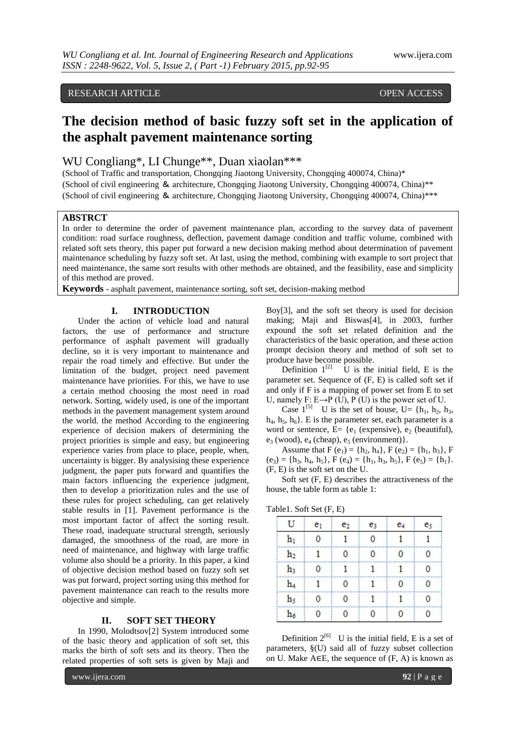## RESEARCH ARTICLE OPEN ACCESS

# **The decision method of basic fuzzy soft set in the application of the asphalt pavement maintenance sorting**

WU Congliang\*, LI Chunge\*\*, Duan xiaolan\*\*\*

(School of Traffic and transportation, Chongqing Jiaotong University, Chongqing 400074, China)\* (School of civil engineering & architecture, Chongqing Jiaotong University, Chongqing 400074, China)\*\* (School of civil engineering & architecture, Chongqing Jiaotong University, Chongqing 400074, China)\*\*\*

### **ABSTRCT**

In order to determine the order of pavement maintenance plan, according to the survey data of pavement condition: road surface roughness, deflection, pavement damage condition and traffic volume, combined with related soft sets theory, this paper put forward a new decision making method about determination of pavement maintenance scheduling by fuzzy soft set. At last, using the method, combining with example to sort project that need maintenance, the same sort results with other methods are obtained, and the feasibility, ease and simplicity of this method are proved.

**Keywords** - asphalt pavement, maintenance sorting, soft set, decision-making method

#### **I. INTRODUCTION**

Under the action of vehicle load and natural factors, the use of performance and structure performance of asphalt pavement will gradually decline, so it is very important to maintenance and repair the road timely and effective. But under the limitation of the budget, project need pavement maintenance have priorities. For this, we have to use a certain method choosing the most need in road network. Sorting, widely used, is one of the important methods in the pavement management system around the world. the method According to the engineering experience of decision makers of determining the project priorities is simple and easy, but engineering experience varies from place to place, people, when, uncertainty is bigger. By analysising these experience judgment, the paper puts forward and quantifies the main factors influencing the experience judgment, then to develop a prioritization rules and the use of these rules for project scheduling, can get relatively stable results in [1]. Pavement performance is the most important factor of affect the sorting result. These road, inadequate structural strength, seriously damaged, the smoothness of the road, are more in need of maintenance, and highway with large traffic volume also should be a priority. In this paper, a kind of objective decision method based on fuzzy soft set was put forward, project sorting using this method for pavement maintenance can reach to the results more objective and simple.

#### **II. SOFT SET THEORY**

In 1990, Molodtsov[2] System introduced some of the basic theory and application of soft set, this marks the birth of soft sets and its theory. Then the related properties of soft sets is given by Maji and

Boy[3], and the soft set theory is used for decision making; Maji and Biswas[4], in 2003, further expound the soft set related definition and the characteristics of the basic operation, and these action prompt decision theory and method of soft set to produce have become possible.

Definition  $1^{[2]}$  U is the initial field, E is the parameter set. Sequence of (F, E) is called soft set if and only if F is a mapping of power set from E to set U, namely F:  $E \rightarrow P$  (U), P (U) is the power set of U.

Case  $1^{5}$  U is the set of house, U= {h<sub>1</sub>, h<sub>2</sub>, h<sub>3</sub>,  $h_4$ ,  $h_5$ ,  $h_6$ . E is the parameter set, each parameter is a word or sentence,  $E = \{e_1$  (expensive),  $e_2$  (beautiful),  $e_3$  (wood),  $e_4$  (cheap),  $e_5$  (environment)}.

Assume that  $F(e_1) = \{h_2, h_4\}$ ,  $F(e_2) = \{h_1, h_3\}$ , F  $(e_3) = \{h_3, h_4, h_5\}, F(e_4) = \{h_1, h_3, h_5\}, F(e_5) = \{h_1\}.$ (F, E) is the soft set on the U.

Soft set (F, E) describes the attractiveness of the house, the table form as table 1:

| Table1. Soft Set (F, E) |  |  |  |  |
|-------------------------|--|--|--|--|
|-------------------------|--|--|--|--|

| U              | e <sub>1</sub> | e2 | eз | e4 | e5 |
|----------------|----------------|----|----|----|----|
| $h_1$          |                |    |    |    |    |
| $\mathbf{h}_2$ |                |    |    |    |    |
| h3             |                |    |    |    |    |
| h4             |                |    |    |    |    |
| h5             |                |    |    |    |    |
|                |                |    |    |    |    |

Definition  $2^{[6]}$  U is the initial field, E is a set of parameters, §(U) said all of fuzzy subset collection on U. Make  $A \in E$ , the sequence of  $(F, A)$  is known as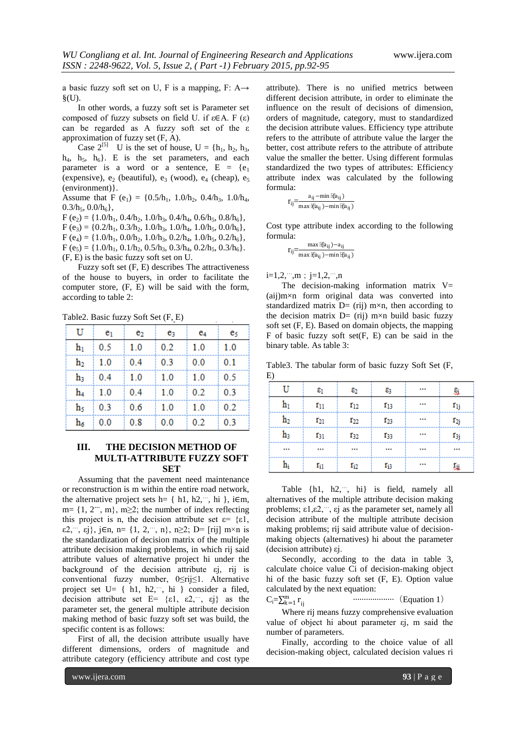a basic fuzzy soft set on U, F is a mapping, F:  $A\rightarrow$  $\S$ <sub>(U)</sub>.

In other words, a fuzzy soft set is Parameter set composed of fuzzy subsets on field U. if  $ε∈A$ . F  $(ε)$ can be regarded as A fuzzy soft set of the ε approximation of fuzzy set (F, A).

Case  $2^{5}$  U is the set of house,  $U = \{h_1, h_2, h_3,$  $h_4$ ,  $h_5$ ,  $h_6$ }. E is the set parameters, and each parameter is a word or a sentence,  $E = \{e_1$ (expensive),  $e_2$  (beautiful),  $e_3$  (wood),  $e_4$  (cheap),  $e_5$ (environment)}.

Assume that F (e<sub>1</sub>) = {0.5/h<sub>1</sub>, 1.0/h<sub>2</sub>, 0.4/h<sub>3</sub>, 1.0/h<sub>4</sub>,  $0.3/h_5$ ,  $0.0/h_6$ ,

 $F (e_2) = \{1.0/h_1, 0.4/h_2, 1.0/h_3, 0.4/h_4, 0.6/h_5, 0.8/h_6\},$  $F (e_3) = \{0.2/h_1, 0.3/h_2, 1.0/h_3, 1.0/h_4, 1.0/h_5, 0.0/h_6\},$  $F (e_4) = \{1.0/h_1, 0.0/h_2, 1.0/h_3, 0.2/h_4, 1.0/h_5, 0.2/h_6\},$  $F (e_5) = \{1.0/h_1, 0.1/h_2, 0.5/h_3, 0.3/h_4, 0.2/h_5, 0.3/h_6\}.$ (F, E) is the basic fuzzy soft set on U.

Fuzzy soft set (F, E) describes The attractiveness of the house to buyers, in order to facilitate the computer store, (F, E) will be said with the form, according to table 2:

Table2. Basic fuzzy Soft Set (F, E)

| U              | e <sub>1</sub> | e <sub>2</sub>    | e3        | e4        | es    |
|----------------|----------------|-------------------|-----------|-----------|-------|
| h1             | 0.5            | 1.0               | 0.2       | 1.0       | 1.0   |
| $\mathbf{h}_2$ | 1.0            | 0.4               | 0.3       | 0.0       | 0.1   |
| hą             | 0.4            | $\vert 1.0 \vert$ | $\pm 1.0$ | $\pm 1.0$ | - 0.5 |
| h4             | 1.0            | 0.4               | $\pm 1.0$ | 0.2       | 0.3   |
| h5             | 0.3            | $\vert 0.6 \vert$ | 1.0       | 1.0       | 0.2   |
| h۵             | 0.0            | 0.8               | 0.0       | 0.2       | 0.3   |

#### **III. THE DECISION METHOD OF MULTI-ATTRIBUTE FUZZY SOFT SET**

Assuming that the pavement need maintenance or reconstruction is m within the entire road network, the alternative project sets h=  $\{ h1, h2, \dots, hi \}$ , i $\in \mathbb{m}$ , m= {1, 2**…**, m}, m≥2; the number of index reflecting this project is n, the decision attribute set  $\varepsilon = \{\varepsilon 1,$ ε2,…, εj}, j∈n, n= {1, 2,…, n}, n≥2; D= [rij] m×n is the standardization of decision matrix of the multiple attribute decision making problems, in which rij said attribute values of alternative project hi under the background of the decision attribute εj, rij is conventional fuzzy number, 0≤rij≤1. Alternative project set U= { h1, h2,…, hi } consider a filed, decision attribute set  $E = \{\varepsilon 1, \varepsilon 2, \dots, \varepsilon j\}$  as the parameter set, the general multiple attribute decision making method of basic fuzzy soft set was build, the specific content is as follows:

First of all, the decision attribute usually have different dimensions, orders of magnitude and attribute category (efficiency attribute and cost type attribute). There is no unified metrics between different decision attribute, in order to eliminate the influence on the result of decisions of dimension, orders of magnitude, category, must to standardized the decision attribute values. Efficiency type attribute refers to the attribute of attribute value the larger the better, cost attribute refers to the attribute of attribute value the smaller the better. Using different formulas standardized the two types of attributes: Efficiency attribute index was calculated by the following formula:

$$
r_{ij}\!\!=\!\!\frac{a_{ij}-\!\min\left[\!\ell\!\left[a_{ij}\right]\right)}{\max\left[\!\ell\!\left[a_{ij}\right]\right)-\!\min\left[\!\ell\!\left[a_{ij}\right]\right)}
$$

Cost type attribute index according to the following formula:

$$
r_{ij} = \frac{\max\left[\left(a_{ij}\right) - a_{ij}\right]}{\max\left[\left(a_{ij}\right) - \min\left[\left(a_{ij}\right)\right]}
$$

 $i=1,2,...,m$ ;  $j=1,2,...,n$ 

The decision-making information matrix  $V=$ (aij)m×n form original data was converted into standardized matrix  $D = (rij)$  m $\times n$ , then according to the decision matrix  $D = (rij)$  m×n build basic fuzzy soft set (F, E). Based on domain objects, the mapping  $F$  of basic fuzzy soft set $(F, E)$  can be said in the binary table. As table 3:

Table3. The tabular form of basic fuzzy Soft Set (F, E)

| U         | $\epsilon_1$ | $\varepsilon_2$ | ε3              | <br>Si       |
|-----------|--------------|-----------------|-----------------|--------------|
| $h_1$     | $r_{11}$     | $r_{12}$        | r <sub>13</sub> | <br>$r_{1j}$ |
| $h_2$     | $r_{21}$     | $r_{22}$        | 123             | <br>$r_{2j}$ |
| h3        | 131          | 132             | 133             | <br>13j      |
|           |              |                 |                 | <br>         |
| $\rm h_i$ | $r_{i1}$     | $r_{i2}$        | ſ <sub>i3</sub> | <br>Łü       |

Table {h1, h2,…, hi} is field, namely all alternatives of the multiple attribute decision making problems; ε1,ε2,…, εj as the parameter set, namely all decision attribute of the multiple attribute decision making problems; rij said attribute value of decisionmaking objects (alternatives) hi about the parameter (decision attribute) εj.

Secondly, according to the data in table 3, calculate choice value Ci of decision-making object hi of the basic fuzzy soft set (F, E). Option value calculated by the next equation:

 $C_i = \sum_{k=1}^m r$ k=1 ij ···················(Equation 1)

Where rij means fuzzy comprehensive evaluation value of object hi about parameter εj, m said the number of parameters.

Finally, according to the choice value of all decision-making object, calculated decision values ri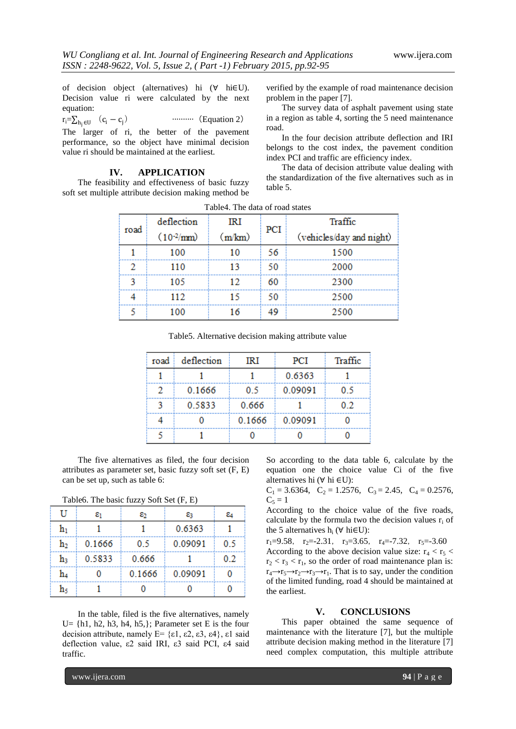of decision object (alternatives) hi (∀ hi∈U). Decision value ri were calculated by the next equation:

$$
r_i = \sum_{h_j \in U} (c_i - c_j) \qquad \qquad \dots \dots \qquad \text{(Equation 2)}
$$

The larger of ri, the better of the pavement performance, so the object have minimal decision value ri should be maintained at the earliest.

#### **IV. APPLICATION**

The feasibility and effectiveness of basic fuzzy soft set multiple attribute decision making method be verified by the example of road maintenance decision problem in the paper [7].

The survey data of asphalt pavement using state in a region as table 4, sorting the 5 need maintenance road.

In the four decision attribute deflection and IRI belongs to the cost index, the pavement condition index PCI and traffic are efficiency index.

The data of decision attribute value dealing with the standardization of the five alternatives such as in table 5.

| road | deflection            | IRI    |     | Traffic                  |  |
|------|-----------------------|--------|-----|--------------------------|--|
|      | $(10^{-2}/\text{mm})$ | (m/km) | PCI | (vehicles/day and night) |  |
|      | 100                   | 10     | 56  | 1500                     |  |
| 2    | 110                   | 13     | 50  | 2000                     |  |
| ٩    | 105                   | 12     | 60  | 2300                     |  |
|      | 112                   | 15     | 50  | 2500                     |  |
|      | 100                   | 16     | 49  | 2500                     |  |

Table4. The data of road states

Table5. Alternative decision making attribute value

| road | deflection | IRI    | PCI     | Traffic |
|------|------------|--------|---------|---------|
|      |            |        | 0.6363  |         |
| 2    | 0.1666     | 0.5    | 0.09091 | 0.5     |
| ٩    | 0.5833     | 0.666  |         | 0.2     |
|      |            | 0.1666 | 0.09091 |         |
|      |            |        |         |         |

The five alternatives as filed, the four decision attributes as parameter set, basic fuzzy soft set (F, E) can be set up, such as table 6:

Table6. The basic fuzzy Soft Set (F, E)

| ĪΙ             | εı     | ε2     | 83      | 84  |
|----------------|--------|--------|---------|-----|
| h۱             |        |        | 0.6363  |     |
| $\mathbf{h}_2$ | 0.1666 | 0.5    | 0.09091 | 0.5 |
| h3             | 0.5833 | 0.666  |         | 02  |
| h4             |        | 0.1666 | 0.09091 |     |
| h٠             |        |        |         |     |

In the table, filed is the five alternatives, namely U =  $\{h1, h2, h3, h4, h5, \}$ ; Parameter set E is the four decision attribute, namely  $E = \{\varepsilon_1, \varepsilon_2, \varepsilon_3, \varepsilon_4\}$ ,  $\varepsilon_1$  said deflection value, ε2 said IRI, ε3 said PCI, ε4 said traffic.

So according to the data table 6, calculate by the equation one the choice value Ci of the five alternatives hi (∀ hi ∈U):

 $C_1 = 3.6364$ ,  $C_2 = 1.2576$ ,  $C_3 = 2.45$ ,  $C_4 = 0.2576$ ,  $C_5 = 1$ 

According to the choice value of the five roads, calculate by the formula two the decision values  $r_i$  of the 5 alternatives  $h_i$  ( $\forall$  hi $\in$ U):

 $r_1=9.58$ ,  $r_2=-2.31$ ,  $r_3=3.65$ ,  $r_4=-7.32$ ,  $r_5=-3.60$ According to the above decision value size:  $r_4 < r_5 <$  $r_2 < r_3 < r_1$ , so the order of road maintenance plan is:  $r_4 \rightarrow r_5 \rightarrow r_2 \rightarrow r_3 \rightarrow r_1$ . That is to say, under the condition of the limited funding, road 4 should be maintained at the earliest.

#### **V. CONCLUSIONS**

This paper obtained the same sequence of maintenance with the literature [7], but the multiple attribute decision making method in the literature [7] need complex computation, this multiple attribute